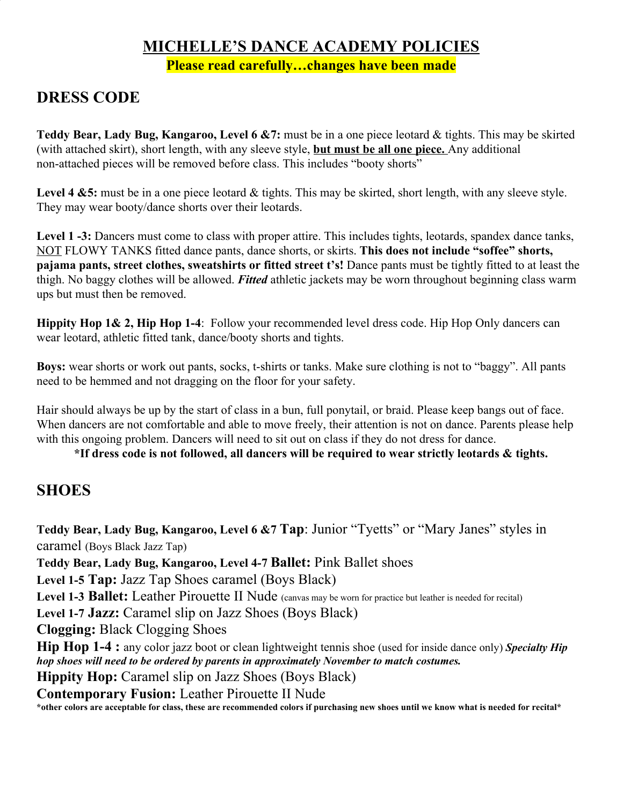#### **MICHELLE'S DANCE ACADEMY POLICIES Please read carefully…changes have been made**

## **DRESS CODE**

**Teddy Bear, Lady Bug, Kangaroo, Level 6 &7:** must be in a one piece leotard & tights. This may be skirted (with attached skirt), short length, with any sleeve style, **but must be all one piece.** Any additional non-attached pieces will be removed before class. This includes "booty shorts"

Level 4 &5: must be in a one piece leotard & tights. This may be skirted, short length, with any sleeve style. They may wear booty/dance shorts over their leotards.

**Level 1 -3:** Dancers must come to class with proper attire. This includes tights, leotards, spandex dance tanks, NOT FLOWY TANKS fitted dance pants, dance shorts, or skirts. **This does not include "soffee" shorts, pajama pants, street clothes, sweatshirts or fitted street t's! Dance pants must be tightly fitted to at least the** thigh. No baggy clothes will be allowed. *Fitted* athletic jackets may be worn throughout beginning class warm ups but must then be removed.

**Hippity Hop 1& 2, Hip Hop 1-4**: Follow your recommended level dress code. Hip Hop Only dancers can wear leotard, athletic fitted tank, dance/booty shorts and tights.

**Boys:** wear shorts or work out pants, socks, t-shirts or tanks. Make sure clothing is not to "baggy". All pants need to be hemmed and not dragging on the floor for your safety.

Hair should always be up by the start of class in a bun, full ponytail, or braid. Please keep bangs out of face. When dancers are not comfortable and able to move freely, their attention is not on dance. Parents please help with this ongoing problem. Dancers will need to sit out on class if they do not dress for dance.

**\*If dress code is not followed, all dancers will be required to wear strictly leotards & tights.**

## **SHOES**

**Teddy Bear, Lady Bug, Kangaroo, Level 6 &7 Tap**: Junior "Tyetts" or "Mary Janes" styles in caramel (Boys Black Jazz Tap) **Teddy Bear, Lady Bug, Kangaroo, Level 4-7 Ballet:** Pink Ballet shoes **Level 1-5 Tap:** Jazz Tap Shoes caramel (Boys Black) Level 1-3 **Ballet:** Leather Pirouette II Nude (canvas may be worn for practice but leather is needed for recital) **Level 1-7 Jazz:** Caramel slip on Jazz Shoes (Boys Black) **Clogging:** Black Clogging Shoes **Hip Hop 1-4 :** any color jazz boot or clean lightweight tennis shoe (used for inside dance only) *Specialty Hip hop shoes will need to be ordered by parents in approximately November to match costumes.* **Hippity Hop:** Caramel slip on Jazz Shoes (Boys Black) **Contemporary Fusion:** Leather Pirouette II Nude

**\*other colors are acceptable for class, these are recommended colors if purchasing new shoes until we know what is needed for recital\***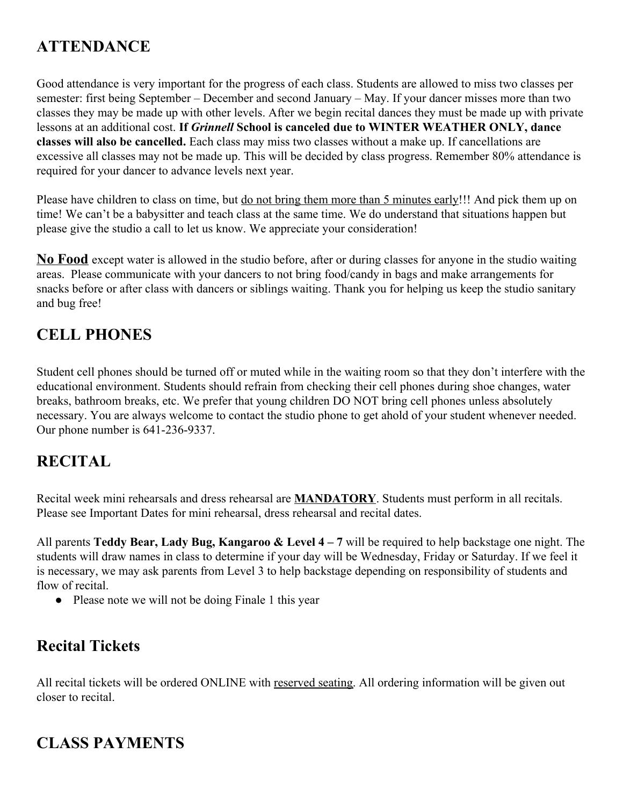## **ATTENDANCE**

Good attendance is very important for the progress of each class. Students are allowed to miss two classes per semester: first being September – December and second January – May. If your dancer misses more than two classes they may be made up with other levels. After we begin recital dances they must be made up with private lessons at an additional cost. **If** *Grinnell* **School is canceled due to WINTER WEATHER ONLY, dance classes will also be cancelled.** Each class may miss two classes without a make up. If cancellations are excessive all classes may not be made up. This will be decided by class progress. Remember 80% attendance is required for your dancer to advance levels next year.

Please have children to class on time, but <u>do not bring them more than 5 minutes early</u>!!! And pick them up on time! We can't be a babysitter and teach class at the same time. We do understand that situations happen but please give the studio a call to let us know. We appreciate your consideration!

**No Food** except water is allowed in the studio before, after or during classes for anyone in the studio waiting areas. Please communicate with your dancers to not bring food/candy in bags and make arrangements for snacks before or after class with dancers or siblings waiting. Thank you for helping us keep the studio sanitary and bug free!

## **CELL PHONES**

Student cell phones should be turned off or muted while in the waiting room so that they don't interfere with the educational environment. Students should refrain from checking their cell phones during shoe changes, water breaks, bathroom breaks, etc. We prefer that young children DO NOT bring cell phones unless absolutely necessary. You are always welcome to contact the studio phone to get ahold of your student whenever needed. Our phone number is 641-236-9337.

## **RECITAL**

Recital week mini rehearsals and dress rehearsal are **MANDATORY**. Students must perform in all recitals. Please see Important Dates for mini rehearsal, dress rehearsal and recital dates.

All parents **Teddy Bear, Lady Bug, Kangaroo & Level 4 – 7** will be required to help backstage one night. The students will draw names in class to determine if your day will be Wednesday, Friday or Saturday. If we feel it is necessary, we may ask parents from Level 3 to help backstage depending on responsibility of students and flow of recital.

• Please note we will not be doing Finale 1 this year

## **Recital Tickets**

All recital tickets will be ordered ONLINE with reserved seating. All ordering information will be given out closer to recital.

# **CLASS PAYMENTS**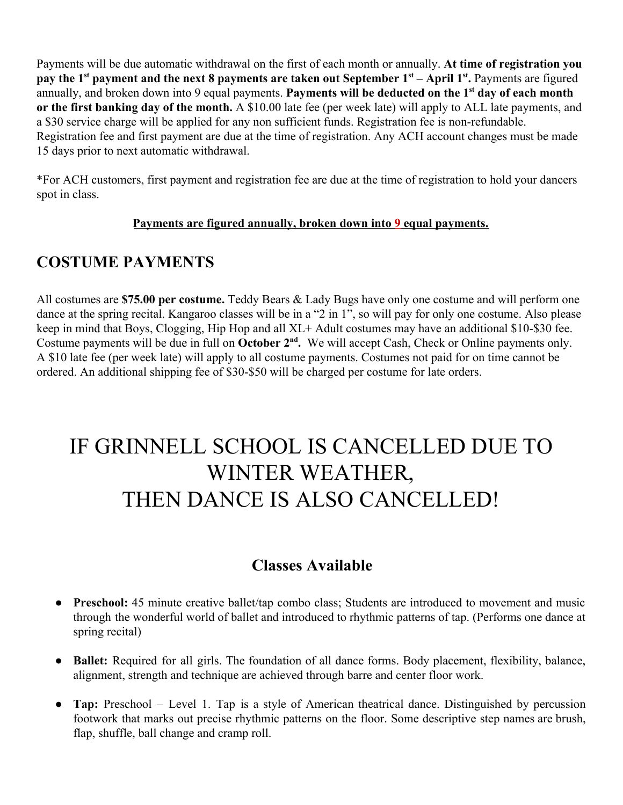Payments will be due automatic withdrawal on the first of each month or annually. **At time of registration you pay the 1st payment and the next 8 payments are taken out September 1st – April 1st .** Payments are figured annually, and broken down into 9 equal payments. **Payments will be deducted on the 1st day of each month or the first banking day of the month.** A \$10.00 late fee (per week late) will apply to ALL late payments, and a \$30 service charge will be applied for any non sufficient funds. Registration fee is non-refundable. Registration fee and first payment are due at the time of registration. Any ACH account changes must be made 15 days prior to next automatic withdrawal.

\*For ACH customers, first payment and registration fee are due at the time of registration to hold your dancers spot in class.

#### **Payments are figured annually, broken down into 9 equal payments.**

#### **COSTUME PAYMENTS**

All costumes are **\$75.00 per costume.** Teddy Bears & Lady Bugs have only one costume and will perform one dance at the spring recital. Kangaroo classes will be in a "2 in 1", so will pay for only one costume. Also please keep in mind that Boys, Clogging, Hip Hop and all XL+ Adult costumes may have an additional \$10-\$30 fee. Costume payments will be due in full on October 2<sup>nd</sup>. We will accept Cash, Check or Online payments only. A \$10 late fee (per week late) will apply to all costume payments. Costumes not paid for on time cannot be ordered. An additional shipping fee of \$30-\$50 will be charged per costume for late orders.

# IF GRINNELL SCHOOL IS CANCELLED DUE TO WINTER WEATHER, THEN DANCE IS ALSO CANCELLED!

## **Classes Available**

- **Preschool:** 45 minute creative ballet/tap combo class; Students are introduced to movement and music through the wonderful world of ballet and introduced to rhythmic patterns of tap. (Performs one dance at spring recital)
- **Ballet:** Required for all girls. The foundation of all dance forms. Body placement, flexibility, balance, alignment, strength and technique are achieved through barre and center floor work.
- **Tap:** Preschool Level 1. Tap is a style of American theatrical dance. Distinguished by percussion footwork that marks out precise rhythmic patterns on the floor. Some descriptive step names are brush, flap, shuffle, ball change and cramp roll.